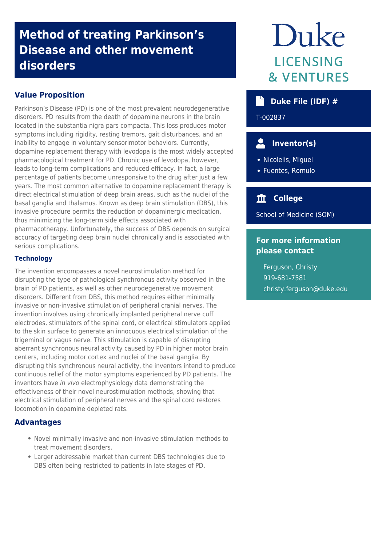# **Method of treating Parkinson's Disease and other movement disorders**

#### **Value Proposition**

Parkinson's Disease (PD) is one of the most prevalent neurodegenerative disorders. PD results from the death of dopamine neurons in the brain located in the substantia nigra pars compacta. This loss produces motor symptoms including rigidity, resting tremors, gait disturbances, and an inability to engage in voluntary sensorimotor behaviors. Currently, dopamine replacement therapy with levodopa is the most widely accepted pharmacological treatment for PD. Chronic use of levodopa, however, leads to long-term complications and reduced efficacy. In fact, a large percentage of patients become unresponsive to the drug after just a few years. The most common alternative to dopamine replacement therapy is direct electrical stimulation of deep brain areas, such as the nuclei of the basal ganglia and thalamus. Known as deep brain stimulation (DBS), this invasive procedure permits the reduction of dopaminergic medication, thus minimizing the long-term side effects associated with pharmacotherapy. Unfortunately, the success of DBS depends on surgical accuracy of targeting deep brain nuclei chronically and is associated with serious complications.

#### **Technology**

The invention encompasses a novel neurostimulation method for disrupting the type of pathological synchronous activity observed in the brain of PD patients, as well as other neurodegenerative movement disorders. Different from DBS, this method requires either minimally invasive or non-invasive stimulation of peripheral cranial nerves. The invention involves using chronically implanted peripheral nerve cuff electrodes, stimulators of the spinal cord, or electrical stimulators applied to the skin surface to generate an innocuous electrical stimulation of the trigeminal or vagus nerve. This stimulation is capable of disrupting aberrant synchronous neural activity caused by PD in higher motor brain centers, including motor cortex and nuclei of the basal ganglia. By disrupting this synchronous neural activity, the inventors intend to produce continuous relief of the motor symptoms experienced by PD patients. The inventors have in vivo electrophysiology data demonstrating the effectiveness of their novel neurostimulation methods, showing that electrical stimulation of peripheral nerves and the spinal cord restores locomotion in dopamine depleted rats.

#### **Advantages**

- Novel minimally invasive and non-invasive stimulation methods to treat movement disorders.
- Larger addressable market than current DBS technologies due to DBS often being restricted to patients in late stages of PD.

# Duke LICENSING **& VENTURES**

#### **Duke File (IDF) #**

T-002837

# **Inventor(s)**

- Nicolelis, Miguel
- Fuentes, Romulo

### **College**

School of Medicine (SOM)

#### **For more information please contact**

Ferguson, Christy 919-681-7581 [christy.ferguson@duke.edu](mailto:christy.ferguson@duke.edu)